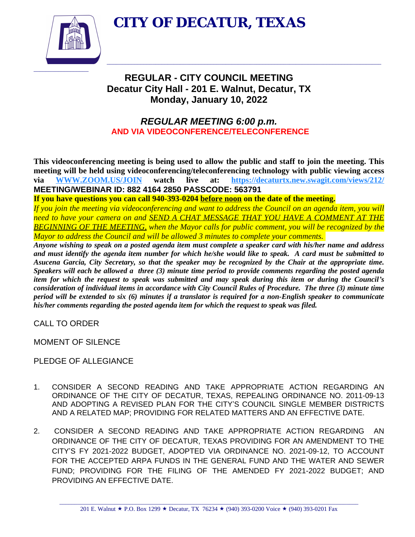**CITY OF DECATUR, TEXAS**



# **REGULAR - CITY COUNCIL MEETING Decatur City Hall - 201 E. Walnut, Decatur, TX Monday, January 10, 2022**

 $\_$  , and the set of the set of the set of the set of the set of the set of the set of the set of the set of the set of the set of the set of the set of the set of the set of the set of the set of the set of the set of th

# *REGULAR MEETING 6:00 p.m.*  **AND VIA VIDEOCONFERENCE/TELECONFERENCE**

**This videoconferencing meeting is being used to allow the public and staff to join the meeting. This meeting will be held using videoconferencing/teleconferencing technology with public viewing access via [WWW.ZOOM.US/JOIN](http://WWW.ZOOM.US/JOIN) watch live at: <https://decaturtx.new.swagit.com/views/212/> MEETING/WEBINAR ID: 882 4164 2850 PASSCODE: 563791**

**If you have questions you can call 940-393-0204 before noon on the date of the meeting.**

If you join the meeting via videoconferencing and want to address the Council on an agenda item, you will *need to have your camera on and SEND A CHAT MESSAGE THAT YOU HAVE A COMMENT AT THE BEGINNING OF THE MEETING, when the Mayor calls for public comment, you will be recognized by the Mayor to address the Council and will be allowed 3 minutes to complete your comments.* 

Anyone wishing to speak on a posted agenda item must complete a speaker card with his/her name and address and must identify the agenda item number for which he/she would like to speak. A card must be submitted to Asucena Garcia, City Secretary, so that the speaker may be recognized by the Chair at the appropriate time. Speakers will each be allowed a three (3) minute time period to provide comments regarding the posted agenda item for which the request to speak was submitted and may speak during this item or during the Council's consideration of individual items in accordance with City Council Rules of Procedure. The three (3) minute time period will be extended to six (6) minutes if a translator is required for a non-English speaker to communicate *his/her comments regarding the posted agenda item for which the request to speak was filed.*

CALL TO ORDER

MOMENT OF SILENCE

PLEDGE OF ALLEGIANCE

- 1. CONSIDER A SECOND READING AND TAKE APPROPRIATE ACTION REGARDING AN ORDINANCE OF THE CITY OF DECATUR, TEXAS, REPEALING ORDINANCE NO. 2011-09-13 AND ADOPTING A REVISED PLAN FOR THE CITY'S COUNCIL SINGLE MEMBER DISTRICTS AND A RELATED MAP; PROVIDING FOR RELATED MATTERS AND AN EFFECTIVE DATE.
- 2. CONSIDER A SECOND READING AND TAKE APPROPRIATE ACTION REGARDING AN ORDINANCE OF THE CITY OF DECATUR, TEXAS PROVIDING FOR AN AMENDMENT TO THE CITY'S FY 2021-2022 BUDGET, ADOPTED VIA ORDINANCE NO. 2021-09-12, TO ACCOUNT FOR THE ACCEPTED ARPA FUNDS IN THE GENERAL FUND AND THE WATER AND SEWER FUND; PROVIDING FOR THE FILING OF THE AMENDED FY 2021-2022 BUDGET; AND PROVIDING AN EFFECTIVE DATE.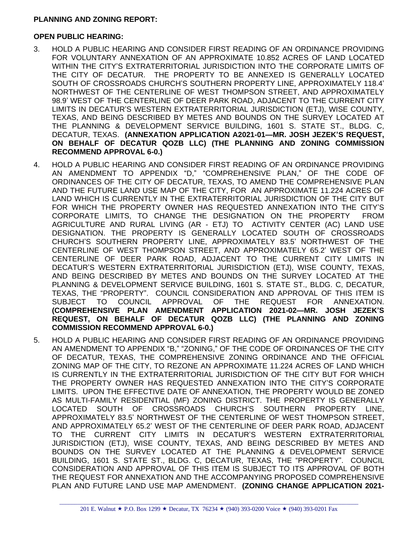## **PLANNING AND ZONING REPORT:**

#### **OPEN PUBLIC HEARING:**

- 3. HOLD A PUBLIC HEARING AND CONSIDER FIRST READING OF AN ORDINANCE PROVIDING FOR VOLUNTARY ANNEXATION OF AN APPROXIMATE 10.852 ACRES OF LAND LOCATED WITHIN THE CITY'S EXTRATERRITORIAL JURISDICTION INTO THE CORPORATE LIMITS OF THE CITY OF DECATUR. THE PROPERTY TO BE ANNEXED IS GENERALLY LOCATED SOUTH OF CROSSROADS CHURCH'S SOUTHERN PROPERTY LINE, APPROXIMATELY 118.4' NORTHWEST OF THE CENTERLINE OF WEST THOMPSON STREET, AND APPROXIMATELY 98.9' WEST OF THE CENTERLINE OF DEER PARK ROAD, ADJACENT TO THE CURRENT CITY LIMITS IN DECATUR'S WESTERN EXTRATERRITORIAL JURISDICTION (ETJ), WISE COUNTY, TEXAS, AND BEING DESCRIBED BY METES AND BOUNDS ON THE SURVEY LOCATED AT THE PLANNING & DEVELOPMENT SERVICE BUILDING, 1601 S. STATE ST., BLDG. C, DECATUR, TEXAS. **(ANNEXATION APPLICATION A2021-01—MR. JOSH JEZEK'S REQUEST, ON BEHALF OF DECATUR QOZB LLC) (THE PLANNING AND ZONING COMMISSION RECOMMEND APPROVAL 6-0.)**
- 4. HOLD A PUBLIC HEARING AND CONSIDER FIRST READING OF AN ORDINANCE PROVIDING AN AMENDMENT TO APPENDIX "D," "COMPREHENSIVE PLAN," OF THE CODE OF ORDINANCES OF THE CITY OF DECATUR, TEXAS, TO AMEND THE COMPREHENSIVE PLAN AND THE FUTURE LAND USE MAP OF THE CITY, FOR AN APPROXIMATE 11.224 ACRES OF LAND WHICH IS CURRENTLY IN THE EXTRATERRITORIAL JURISDICTION OF THE CITY BUT FOR WHICH THE PROPERTY OWNER HAS REQUESTED ANNEXATION INTO THE CITY'S CORPORATE LIMITS, TO CHANGE THE DESIGNATION ON THE PROPERTY FROM AGRICULTURE AND RURAL LIVING (AR - ETJ) TO ACTIVITY CENTER (AC) LAND USE DESIGNATION. THE PROPERTY IS GENERALLY LOCATED SOUTH OF CROSSROADS CHURCH'S SOUTHERN PROPERTY LINE, APPROXIMATELY 83.5' NORTHWEST OF THE CENTERLINE OF WEST THOMPSON STREET, AND APPROXIMATELY 65.2' WEST OF THE CENTERLINE OF DEER PARK ROAD, ADJACENT TO THE CURRENT CITY LIMITS IN DECATUR'S WESTERN EXTRATERRITORIAL JURISDICTION (ETJ), WISE COUNTY, TEXAS, AND BEING DESCRIBED BY METES AND BOUNDS ON THE SURVEY LOCATED AT THE PLANNING & DEVELOPMENT SERVICE BUILDING, 1601 S. STATE ST., BLDG. C, DECATUR, TEXAS, THE "PROPERTY". COUNCIL CONSIDERATION AND APPROVAL OF THIS ITEM IS SUBJECT TO COUNCIL APPROVAL OF THE REQUEST FOR ANNEXATION. **(COMPREHENSIVE PLAN AMENDMENT APPLICATION 2021-02—MR. JOSH JEZEK'S REQUEST, ON BEHALF OF DECATUR QOZB LLC) (THE PLANNING AND ZONING COMMISSION RECOMMEND APPROVAL 6-0.)**
- 5. HOLD A PUBLIC HEARING AND CONSIDER FIRST READING OF AN ORDINANCE PROVIDING AN AMENDMENT TO APPENDIX "B," "ZONING," OF THE CODE OF ORDINANCES OF THE CITY OF DECATUR, TEXAS, THE COMPREHENSIVE ZONING ORDINANCE AND THE OFFICIAL ZONING MAP OF THE CITY, TO REZONE AN APPROXIMATE 11.224 ACRES OF LAND WHICH IS CURRENTLY IN THE EXTRATERRITORIAL JURISDICTION OF THE CITY BUT FOR WHICH THE PROPERTY OWNER HAS REQUESTED ANNEXATION INTO THE CITY'S CORPORATE LIMITS. UPON THE EFFECTIVE DATE OF ANNEXATION, THE PROPERTY WOULD BE ZONED AS MULTI-FAMILY RESIDENTIAL (MF) ZONING DISTRICT. THE PROPERTY IS GENERALLY LOCATED SOUTH OF CROSSROADS CHURCH'S SOUTHERN PROPERTY LINE, APPROXIMATELY 83.5' NORTHWEST OF THE CENTERLINE OF WEST THOMPSON STREET, AND APPROXIMATELY 65.2' WEST OF THE CENTERLINE OF DEER PARK ROAD, ADJACENT TO THE CURRENT CITY LIMITS IN DECATUR'S WESTERN EXTRATERRITORIAL JURISDICTION (ETJ), WISE COUNTY, TEXAS, AND BEING DESCRIBED BY METES AND BOUNDS ON THE SURVEY LOCATED AT THE PLANNING & DEVELOPMENT SERVICE BUILDING, 1601 S. STATE ST., BLDG. C, DECATUR, TEXAS, THE "PROPERTY". COUNCIL CONSIDERATION AND APPROVAL OF THIS ITEM IS SUBJECT TO ITS APPROVAL OF BOTH THE REQUEST FOR ANNEXATION AND THE ACCOMPANYING PROPOSED COMPREHENSIVE PLAN AND FUTURE LAND USE MAP AMENDMENT. **(ZONING CHANGE APPLICATION 2021-**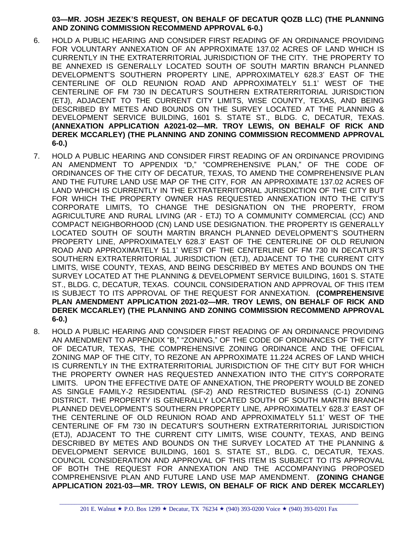### **03—MR. JOSH JEZEK'S REQUEST, ON BEHALF OF DECATUR QOZB LLC) (THE PLANNING AND ZONING COMMISSION RECOMMEND APPROVAL 6-0.)**

- 6. HOLD A PUBLIC HEARING AND CONSIDER FIRST READING OF AN ORDINANCE PROVIDING FOR VOLUNTARY ANNEXATION OF AN APPROXIMATE 137.02 ACRES OF LAND WHICH IS CURRENTLY IN THE EXTRATERRITORIAL JURISDICTION OF THE CITY. THE PROPERTY TO BE ANNEXED IS GENERALLY LOCATED SOUTH OF SOUTH MARTIN BRANCH PLANNED DEVELOPMENT'S SOUTHERN PROPERTY LINE, APPROXIMATELY 628.3' EAST OF THE CENTERLINE OF OLD REUNION ROAD AND APPROXIMATELY 51.1' WEST OF THE CENTERLINE OF FM 730 IN DECATUR'S SOUTHERN EXTRATERRITORIAL JURISDICTION (ETJ), ADJACENT TO THE CURRENT CITY LIMITS, WISE COUNTY, TEXAS, AND BEING DESCRIBED BY METES AND BOUNDS ON THE SURVEY LOCATED AT THE PLANNING & DEVELOPMENT SERVICE BUILDING, 1601 S. STATE ST., BLDG. C, DECATUR, TEXAS. **(ANNEXATION APPLICATION A2021-02—MR. TROY LEWIS, ON BEHALF OF RICK AND DEREK MCCARLEY) (THE PLANNING AND ZONING COMMISSION RECOMMEND APPROVAL 6-0.)**
- 7. HOLD A PUBLIC HEARING AND CONSIDER FIRST READING OF AN ORDINANCE PROVIDING AN AMENDMENT TO APPENDIX "D," "COMPREHENSIVE PLAN," OF THE CODE OF ORDINANCES OF THE CITY OF DECATUR, TEXAS, TO AMEND THE COMPREHENSIVE PLAN AND THE FUTURE LAND USE MAP OF THE CITY, FOR AN APPROXIMATE 137.02 ACRES OF LAND WHICH IS CURRENTLY IN THE EXTRATERRITORIAL JURISDICTION OF THE CITY BUT FOR WHICH THE PROPERTY OWNER HAS REQUESTED ANNEXATION INTO THE CITY'S CORPORATE LIMITS, TO CHANGE THE DESIGNATION ON THE PROPERTY, FROM AGRICULTURE AND RURAL LIVING (AR - ETJ) TO A COMMUNITY COMMERCIAL (CC) AND COMPACT NEIGHBORHOOD (CN) LAND USE DESIGNATION. THE PROPERTY IS GENERALLY LOCATED SOUTH OF SOUTH MARTIN BRANCH PLANNED DEVELOPMENT'S SOUTHERN PROPERTY LINE, APPROXIMATELY 628.3' EAST OF THE CENTERLINE OF OLD REUNION ROAD AND APPROXIMATELY 51.1' WEST OF THE CENTERLINE OF FM 730 IN DECATUR'S SOUTHERN EXTRATERRITORIAL JURISDICTION (ETJ), ADJACENT TO THE CURRENT CITY LIMITS, WISE COUNTY, TEXAS, AND BEING DESCRIBED BY METES AND BOUNDS ON THE SURVEY LOCATED AT THE PLANNING & DEVELOPMENT SERVICE BUILDING, 1601 S. STATE ST., BLDG. C, DECATUR, TEXAS. COUNCIL CONSIDERATION AND APPROVAL OF THIS ITEM IS SUBJECT TO ITS APPROVAL OF THE REQUEST FOR ANNEXATION. **(COMPREHENSIVE PLAN AMENDMENT APPLICATION 2021-02—MR. TROY LEWIS, ON BEHALF OF RICK AND DEREK MCCARLEY) (THE PLANNING AND ZONING COMMISSION RECOMMEND APPROVAL 6-0.)**
- 8. HOLD A PUBLIC HEARING AND CONSIDER FIRST READING OF AN ORDINANCE PROVIDING AN AMENDMENT TO APPENDIX "B," "ZONING," OF THE CODE OF ORDINANCES OF THE CITY OF DECATUR, TEXAS, THE COMPREHENSIVE ZONING ORDINANCE AND THE OFFICIAL ZONING MAP OF THE CITY, TO REZONE AN APPROXIMATE 11.224 ACRES OF LAND WHICH IS CURRENTLY IN THE EXTRATERRITORIAL JURISDICTION OF THE CITY BUT FOR WHICH THE PROPERTY OWNER HAS REQUESTED ANNEXATION INTO THE CITY'S CORPORATE LIMITS. UPON THE EFFECTIVE DATE OF ANNEXATION, THE PROPERTY WOULD BE ZONED AS SINGLE FAMILY-2 RESIDENTIAL (SF-2) AND RESTRICTED BUSINESS (C-1) ZONING DISTRICT. THE PROPERTY IS GENERALLY LOCATED SOUTH OF SOUTH MARTIN BRANCH PLANNED DEVELOPMENT'S SOUTHERN PROPERTY LINE, APPROXIMATELY 628.3' EAST OF THE CENTERLINE OF OLD REUNION ROAD AND APPROXIMATELY 51.1' WEST OF THE CENTERLINE OF FM 730 IN DECATUR'S SOUTHERN EXTRATERRITORIAL JURISDICTION (ETJ), ADJACENT TO THE CURRENT CITY LIMITS, WISE COUNTY, TEXAS, AND BEING DESCRIBED BY METES AND BOUNDS ON THE SURVEY LOCATED AT THE PLANNING & DEVELOPMENT SERVICE BUILDING, 1601 S. STATE ST., BLDG. C, DECATUR, TEXAS. COUNCIL CONSIDERATION AND APPROVAL OF THIS ITEM IS SUBJECT TO ITS APPROVAL OF BOTH THE REQUEST FOR ANNEXATION AND THE ACCOMPANYING PROPOSED COMPREHENSIVE PLAN AND FUTURE LAND USE MAP AMENDMENT. **(ZONING CHANGE APPLICATION 2021-03—MR. TROY LEWIS, ON BEHALF OF RICK AND DEREK MCCARLEY)**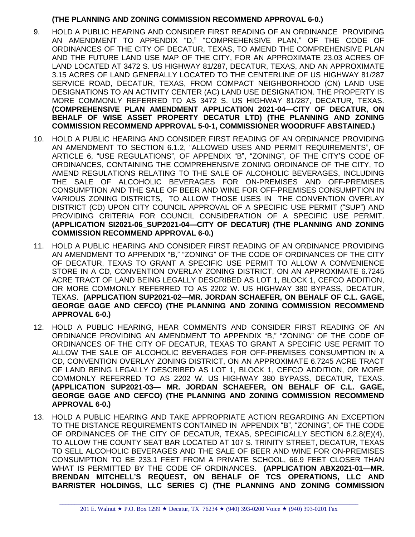## **(THE PLANNING AND ZONING COMMISSION RECOMMEND APPROVAL 6-0.)**

- 9. HOLD A PUBLIC HEARING AND CONSIDER FIRST READING OF AN ORDINANCE PROVIDING AN AMENDMENT TO APPENDIX "D," "COMPREHENSIVE PLAN," OF THE CODE OF ORDINANCES OF THE CITY OF DECATUR, TEXAS, TO AMEND THE COMPREHENSIVE PLAN AND THE FUTURE LAND USE MAP OF THE CITY, FOR AN APPROXIMATE 23.03 ACRES OF LAND LOCATED AT 3472 S. US HIGHWAY 81/287, DECATUR, TEXAS, AND AN APPROXIMATE 3.15 ACRES OF LAND GENERALLY LOCATED TO THE CENTERLINE OF US HIGHWAY 81/287 SERVICE ROAD, DECATUR, TEXAS, FROM COMPACT NEIGHBORHOOD (CN) LAND USE DESIGNATIONS TO AN ACTIVITY CENTER (AC) LAND USE DESIGNATION. THE PROPERTY IS MORE COMMONLY REFERRED TO AS 3472 S. US HIGHWAY 81/287, DECATUR, TEXAS. **(COMPREHENSIVE PLAN AMENDMENT APPLICATION 2021-04—CITY OF DECATUR, ON BEHALF OF WISE ASSET PROPERTY DECATUR LTD) (THE PLANNING AND ZONING COMMISSION RECOMMEND APPROVAL 5-0-1, COMMISSIONER WOODRUFF ABSTAINED.)**
- 10. HOLD A PUBLIC HEARING AND CONSIDER FIRST READING OF AN ORDINANCE PROVIDING AN AMENDMENT TO SECTION 6.1.2, "ALLOWED USES AND PERMIT REQUIREMENTS", OF ARTICLE 6, "USE REGULATIONS", OF APPENDIX "B", "ZONING", OF THE CITY'S CODE OF ORDINANCES, CONTAINING THE COMPREHENSIVE ZONING ORDINANCE OF THE CITY, TO AMEND REGULATIONS RELATING TO THE SALE OF ALCOHOLIC BEVERAGES, INCLUDING THE SALE OF ALCOHOLIC BEVERAGES FOR ON-PREMISES AND OFF-PREMISES CONSUMPTION AND THE SALE OF BEER AND WINE FOR OFF-PREMISES CONSUMPTION IN VARIOUS ZONING DISTRICTS, TO ALLOW THOSE USES IN THE CONVENTION OVERLAY DISTRICT (CD) UPON CITY COUNCIL APPROVAL OF A SPECIFIC USE PERMIT ("SUP") AND PROVIDING CRITERIA FOR COUNCIL CONSIDERATION OF A SPECIFIC USE PERMIT. **(APPLICATION SI2021-06\_SUP2021-04—CITY OF DECATUR) (THE PLANNING AND ZONING COMMISSION RECOMMEND APPROVAL 6-0.)**
- 11. HOLD A PUBLIC HEARING AND CONSIDER FIRST READING OF AN ORDINANCE PROVIDING AN AMENDMENT TO APPENDIX "B," "ZONING" OF THE CODE OF ORDINANCES OF THE CITY OF DECATUR, TEXAS TO GRANT A SPECIFIC USE PERMIT TO ALLOW A CONVENIENCE STORE IN A CD, CONVENTION OVERLAY ZONING DISTRICT, ON AN APPROXIMATE 6.7245 ACRE TRACT OF LAND BEING LEGALLY DESCRIBED AS LOT 1, BLOCK 1, CEFCO ADDITION, OR MORE COMMONLY REFERRED TO AS 2202 W. US HIGHWAY 380 BYPASS, DECATUR, TEXAS. **(APPLICATION SUP2021-02—MR. JORDAN SCHAEFER, ON BEHALF OF C.L. GAGE, GEORGE GAGE AND CEFCO) (THE PLANNING AND ZONING COMMISSION RECOMMEND APPROVAL 6-0.)**
- 12. HOLD A PUBLIC HEARING, HEAR COMMENTS AND CONSIDER FIRST READING OF AN ORDINANCE PROVIDING AN AMENDMENT TO APPENDIX "B," "ZONING" OF THE CODE OF ORDINANCES OF THE CITY OF DECATUR, TEXAS TO GRANT A SPECIFIC USE PERMIT TO ALLOW THE SALE OF ALCOHOLIC BEVERAGES FOR OFF-PREMISES CONSUMPTION IN A CD, CONVENTION OVERLAY ZONING DISTRICT, ON AN APPROXIMATE 6.7245 ACRE TRACT OF LAND BEING LEGALLY DESCRIBED AS LOT 1, BLOCK 1, CEFCO ADDITION, OR MORE COMMONLY REFERRED TO AS 2202 W. US HIGHWAY 380 BYPASS, DECATUR, TEXAS. **(APPLICATION SUP2021-03— MR. JORDAN SCHAEFER, ON BEHALF OF C.L. GAGE, GEORGE GAGE AND CEFCO) (THE PLANNING AND ZONING COMMISSION RECOMMEND APPROVAL 6-0.)**
- 13. HOLD A PUBLIC HEARING AND TAKE APPROPRIATE ACTION REGARDING AN EXCEPTION TO THE DISTANCE REQUIREMENTS CONTAINED IN APPENDIX "B", "ZONING", OF THE CODE OF ORDINANCES OF THE CITY OF DECATUR, TEXAS, SPECIFICALLY SECTION 6.2.8(E)(4), TO ALLOW THE COUNTY SEAT BAR LOCATED AT 107 S. TRINITY STREET, DECATUR, TEXAS TO SELL ALCOHOLIC BEVERAGES AND THE SALE OF BEER AND WINE FOR ON-PREMISES CONSUMPTION TO BE 233.1 FEET FROM A PRIVATE SCHOOL, 66.9 FEET CLOSER THAN WHAT IS PERMITTED BY THE CODE OF ORDINANCES. **(APPLICATION ABX2021-01—MR. BRENDAN MITCHELL'S REQUEST, ON BEHALF OF TCS OPERATIONS, LLC AND BARRISTER HOLDINGS, LLC SERIES C) (THE PLANNING AND ZONING COMMISSION**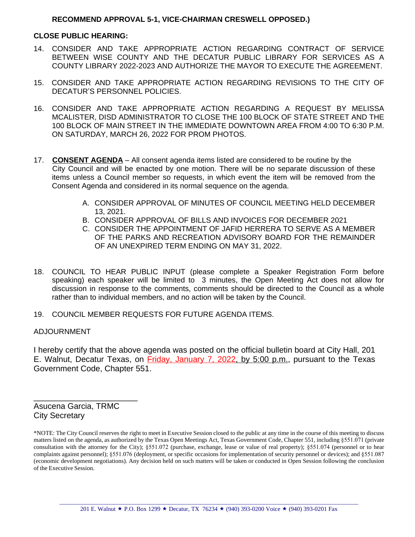#### **RECOMMEND APPROVAL 5-1, VICE-CHAIRMAN CRESWELL OPPOSED.)**

#### **CLOSE PUBLIC HEARING:**

- 14. CONSIDER AND TAKE APPROPRIATE ACTION REGARDING CONTRACT OF SERVICE BETWEEN WISE COUNTY AND THE DECATUR PUBLIC LIBRARY FOR SERVICES AS A COUNTY LIBRARY 2022-2023 AND AUTHORIZE THE MAYOR TO EXECUTE THE AGREEMENT.
- 15. CONSIDER AND TAKE APPROPRIATE ACTION REGARDING REVISIONS TO THE CITY OF DECATUR'S PERSONNEL POLICIES.
- 16. CONSIDER AND TAKE APPROPRIATE ACTION REGARDING A REQUEST BY MELISSA MCALISTER, DISD ADMINISTRATOR TO CLOSE THE 100 BLOCK OF STATE STREET AND THE 100 BLOCK OF MAIN STREET IN THE IMMEDIATE DOWNTOWN AREA FROM 4:00 TO 6:30 P.M. ON SATURDAY, MARCH 26, 2022 FOR PROM PHOTOS.
- 17. **CONSENT AGENDA** All consent agenda items listed are considered to be routine by the City Council and will be enacted by one motion. There will be no separate discussion of these items unless a Council member so requests, in which event the item will be removed from the Consent Agenda and considered in its normal sequence on the agenda.
	- A. CONSIDER APPROVAL OF MINUTES OF COUNCIL MEETING HELD DECEMBER 13, 2021.
	- B. CONSIDER APPROVAL OF BILLS AND INVOICES FOR DECEMBER 2021
	- C. CONSIDER THE APPOINTMENT OF JAFID HERRERA TO SERVE AS A MEMBER OF THE PARKS AND RECREATION ADVISORY BOARD FOR THE REMAINDER OF AN UNEXPIRED TERM ENDING ON MAY 31, 2022.
- 18. COUNCIL TO HEAR PUBLIC INPUT (please complete a Speaker Registration Form before speaking) each speaker will be limited to 3 minutes, the Open Meeting Act does not allow for discussion in response to the comments, comments should be directed to the Council as a whole rather than to individual members, and no action will be taken by the Council.
- 19. COUNCIL MEMBER REQUESTS FOR FUTURE AGENDA ITEMS.

#### ADJOURNMENT

I hereby certify that the above agenda was posted on the official bulletin board at City Hall, 201 E. Walnut, Decatur Texas, on Friday, January 7, 2022, by 5:00 p.m., pursuant to the Texas Government Code, Chapter 551.

Asucena Garcia, TRMC City Secretary

\_\_\_\_\_\_\_\_\_\_\_\_\_\_\_\_\_\_\_\_\_\_\_

<sup>\*</sup>NOTE: The City Council reserves the right to meet in Executive Session closed to the public at any time in the course of this meeting to discuss matters listed on the agenda, as authorized by the Texas Open Meetings Act, Texas Government Code, Chapter 551, including §551.071 (private consultation with the attorney for the City); §551.072 (purchase, exchange, lease or value of real property); §551.074 (personnel or to hear complaints against personnel); §551.076 (deployment, or specific occasions for implementation of security personnel or devices); and §551.087 (economic development negotiations). Any decision held on such matters will be taken or conducted in Open Session following the conclusion of the Executive Session.